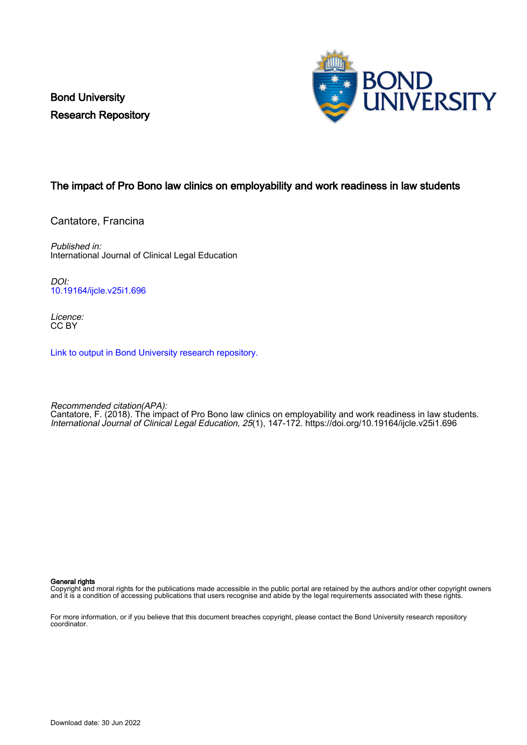Bond University Research Repository



## The impact of Pro Bono law clinics on employability and work readiness in law students

Cantatore, Francina

Published in: International Journal of Clinical Legal Education

DOI: [10.19164/ijcle.v25i1.696](https://doi.org/10.19164/ijcle.v25i1.696)

Licence: CC BY

[Link to output in Bond University research repository.](https://research.bond.edu.au/en/publications/58416e10-1d67-4535-a326-714518578571)

Recommended citation(APA): Cantatore, F. (2018). The impact of Pro Bono law clinics on employability and work readiness in law students. International Journal of Clinical Legal Education, 25(1), 147-172. <https://doi.org/10.19164/ijcle.v25i1.696>

#### General rights

Copyright and moral rights for the publications made accessible in the public portal are retained by the authors and/or other copyright owners and it is a condition of accessing publications that users recognise and abide by the legal requirements associated with these rights.

For more information, or if you believe that this document breaches copyright, please contact the Bond University research repository coordinator.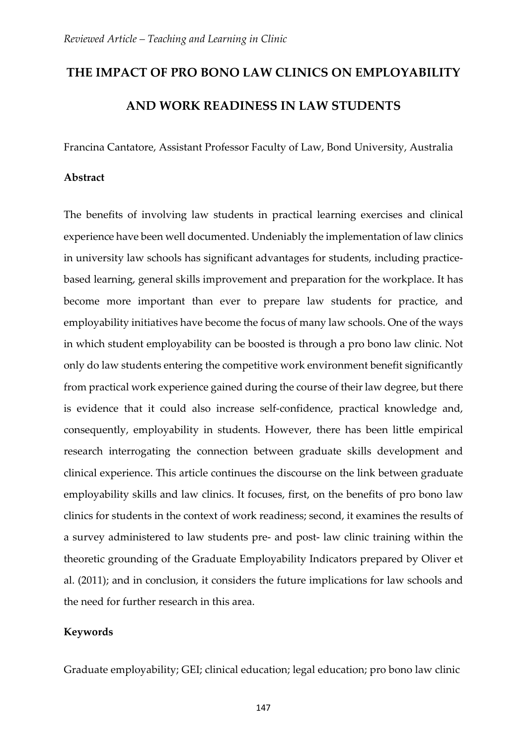# **THE IMPACT OF PRO BONO LAW CLINICS ON EMPLOYABILITY AND WORK READINESS IN LAW STUDENTS**

Francina Cantatore, Assistant Professor Faculty of Law, Bond University, Australia

## **Abstract**

The benefits of involving law students in practical learning exercises and clinical experience have been well documented. Undeniably the implementation of law clinics in university law schools has significant advantages for students, including practicebased learning, general skills improvement and preparation for the workplace. It has become more important than ever to prepare law students for practice, and employability initiatives have become the focus of many law schools. One of the ways in which student employability can be boosted is through a pro bono law clinic. Not only do law students entering the competitive work environment benefit significantly from practical work experience gained during the course of their law degree, but there is evidence that it could also increase self-confidence, practical knowledge and, consequently, employability in students. However, there has been little empirical research interrogating the connection between graduate skills development and clinical experience. This article continues the discourse on the link between graduate employability skills and law clinics. It focuses, first, on the benefits of pro bono law clinics for students in the context of work readiness; second, it examines the results of a survey administered to law students pre- and post- law clinic training within the theoretic grounding of the Graduate Employability Indicators prepared by Oliver et al. (2011); and in conclusion, it considers the future implications for law schools and the need for further research in this area.

## **Keywords**

Graduate employability; GEI; clinical education; legal education; pro bono law clinic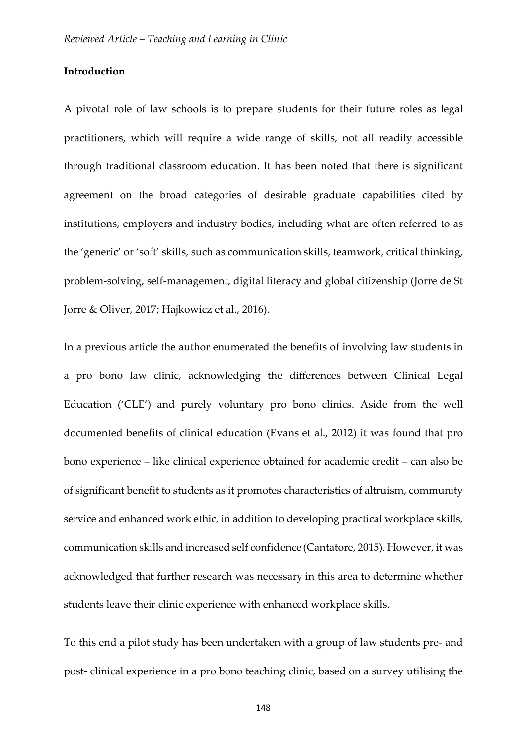#### **Introduction**

A pivotal role of law schools is to prepare students for their future roles as legal practitioners, which will require a wide range of skills, not all readily accessible through traditional classroom education. It has been noted that there is significant agreement on the broad categories of desirable graduate capabilities cited by institutions, employers and industry bodies, including what are often referred to as the 'generic' or 'soft' skills, such as communication skills, teamwork, critical thinking, problem-solving, self-management, digital literacy and global citizenship (Jorre de St Jorre & Oliver, 2017; Hajkowicz et al., 2016).

In a previous article the author enumerated the benefits of involving law students in a pro bono law clinic, acknowledging the differences between Clinical Legal Education ('CLE') and purely voluntary pro bono clinics. Aside from the well documented benefits of clinical education (Evans et al., 2012) it was found that pro bono experience – like clinical experience obtained for academic credit – can also be of significant benefit to students as it promotes characteristics of altruism, community service and enhanced work ethic, in addition to developing practical workplace skills, communication skills and increased self confidence (Cantatore, 2015). However, it was acknowledged that further research was necessary in this area to determine whether students leave their clinic experience with enhanced workplace skills.

To this end a pilot study has been undertaken with a group of law students pre- and post- clinical experience in a pro bono teaching clinic, based on a survey utilising the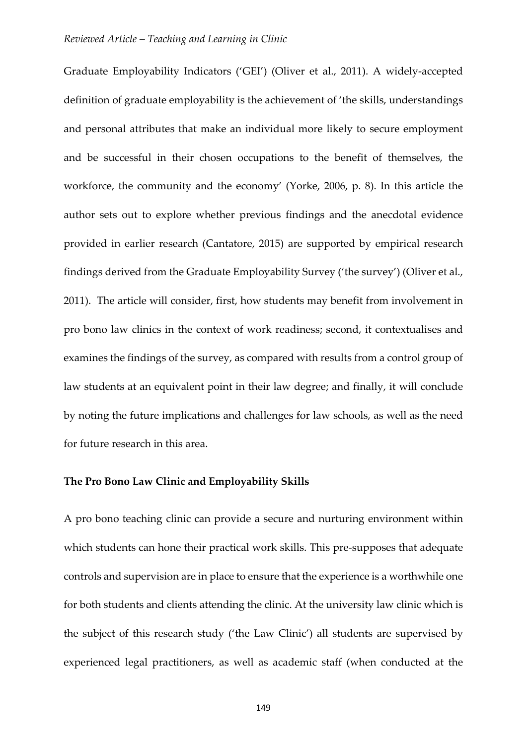Graduate Employability Indicators ('GEI') (Oliver et al., 2011). A widely-accepted definition of graduate employability is the achievement of 'the skills, understandings and personal attributes that make an individual more likely to secure employment and be successful in their chosen occupations to the benefit of themselves, the workforce, the community and the economy' (Yorke, 2006, p. 8). In this article the author sets out to explore whether previous findings and the anecdotal evidence provided in earlier research (Cantatore, 2015) are supported by empirical research findings derived from the Graduate Employability Survey ('the survey') (Oliver et al., 2011). The article will consider, first, how students may benefit from involvement in pro bono law clinics in the context of work readiness; second, it contextualises and examines the findings of the survey, as compared with results from a control group of law students at an equivalent point in their law degree; and finally, it will conclude by noting the future implications and challenges for law schools, as well as the need for future research in this area.

#### **The Pro Bono Law Clinic and Employability Skills**

A pro bono teaching clinic can provide a secure and nurturing environment within which students can hone their practical work skills. This pre-supposes that adequate controls and supervision are in place to ensure that the experience is a worthwhile one for both students and clients attending the clinic. At the university law clinic which is the subject of this research study ('the Law Clinic') all students are supervised by experienced legal practitioners, as well as academic staff (when conducted at the

149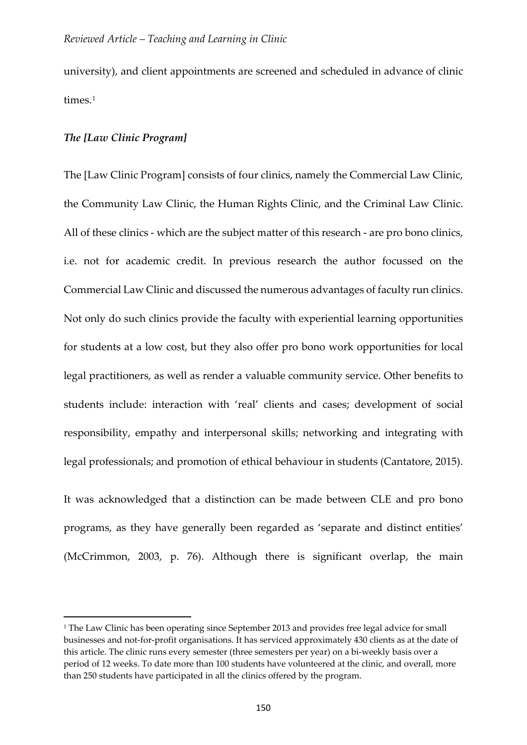university), and client appointments are screened and scheduled in advance of clinic times.<sup>[1](#page-4-0)</sup>

### *The [Law Clinic Program]*

<u>.</u>

The [Law Clinic Program] consists of four clinics, namely the Commercial Law Clinic, the Community Law Clinic, the Human Rights Clinic, and the Criminal Law Clinic. All of these clinics - which are the subject matter of this research - are pro bono clinics, i.e. not for academic credit. In previous research the author focussed on the Commercial Law Clinic and discussed the numerous advantages of faculty run clinics. Not only do such clinics provide the faculty with experiential learning opportunities for students at a low cost, but they also offer pro bono work opportunities for local legal practitioners, as well as render a valuable community service. Other benefits to students include: interaction with 'real' clients and cases; development of social responsibility, empathy and interpersonal skills; networking and integrating with legal professionals; and promotion of ethical behaviour in students (Cantatore, 2015).

It was acknowledged that a distinction can be made between CLE and pro bono programs, as they have generally been regarded as 'separate and distinct entities' (McCrimmon, 2003, p. 76). Although there is significant overlap, the main

<span id="page-4-0"></span><sup>&</sup>lt;sup>1</sup> The Law Clinic has been operating since September 2013 and provides free legal advice for small businesses and not-for-profit organisations. It has serviced approximately 430 clients as at the date of this article. The clinic runs every semester (three semesters per year) on a bi-weekly basis over a period of 12 weeks. To date more than 100 students have volunteered at the clinic, and overall, more than 250 students have participated in all the clinics offered by the program.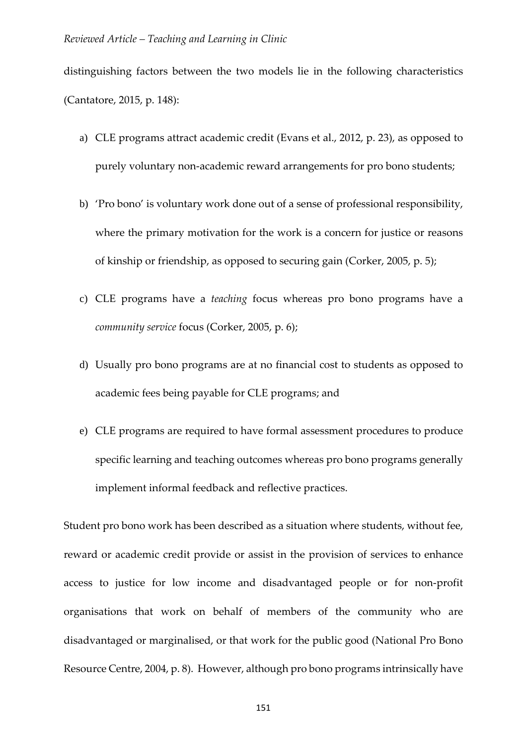distinguishing factors between the two models lie in the following characteristics (Cantatore, 2015, p. 148):

- a) CLE programs attract academic credit (Evans et al., 2012, p. 23), as opposed to purely voluntary non-academic reward arrangements for pro bono students;
- b) 'Pro bono' is voluntary work done out of a sense of professional responsibility, where the primary motivation for the work is a concern for justice or reasons of kinship or friendship, as opposed to securing gain (Corker, 2005, p. 5);
- c) CLE programs have a *teaching* focus whereas pro bono programs have a *community service* focus (Corker, 2005, p. 6);
- d) Usually pro bono programs are at no financial cost to students as opposed to academic fees being payable for CLE programs; and
- e) CLE programs are required to have formal assessment procedures to produce specific learning and teaching outcomes whereas pro bono programs generally implement informal feedback and reflective practices.

Student pro bono work has been described as a situation where students, without fee, reward or academic credit provide or assist in the provision of services to enhance access to justice for low income and disadvantaged people or for non-profit organisations that work on behalf of members of the community who are disadvantaged or marginalised, or that work for the public good (National Pro Bono Resource Centre, 2004, p. 8). However, although pro bono programs intrinsically have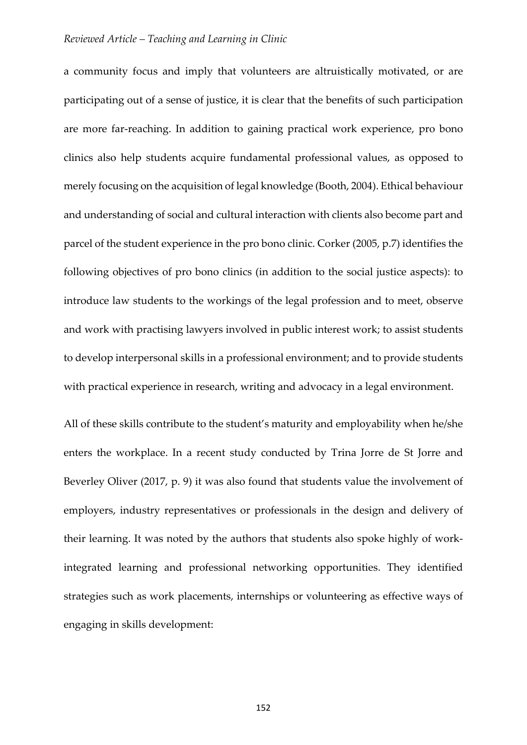a community focus and imply that volunteers are altruistically motivated, or are participating out of a sense of justice, it is clear that the benefits of such participation are more far-reaching. In addition to gaining practical work experience, pro bono clinics also help students acquire fundamental professional values, as opposed to merely focusing on the acquisition of legal knowledge (Booth, 2004). Ethical behaviour and understanding of social and cultural interaction with clients also become part and parcel of the student experience in the pro bono clinic. Corker (2005, p.7) identifies the following objectives of pro bono clinics (in addition to the social justice aspects): to introduce law students to the workings of the legal profession and to meet, observe and work with practising lawyers involved in public interest work; to assist students to develop interpersonal skills in a professional environment; and to provide students with practical experience in research, writing and advocacy in a legal environment.

All of these skills contribute to the student's maturity and employability when he/she enters the workplace. In a recent study conducted by Trina Jorre de St Jorre and Beverley Oliver (2017, p. 9) it was also found that students value the involvement of employers, industry representatives or professionals in the design and delivery of their learning. It was noted by the authors that students also spoke highly of workintegrated learning and professional networking opportunities. They identified strategies such as work placements, internships or volunteering as effective ways of engaging in skills development:

152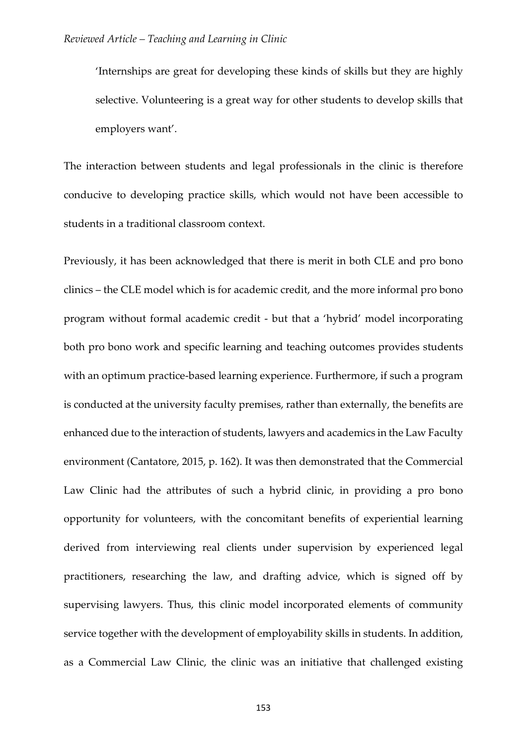'Internships are great for developing these kinds of skills but they are highly selective. Volunteering is a great way for other students to develop skills that employers want'.

The interaction between students and legal professionals in the clinic is therefore conducive to developing practice skills, which would not have been accessible to students in a traditional classroom context.

Previously, it has been acknowledged that there is merit in both CLE and pro bono clinics – the CLE model which is for academic credit, and the more informal pro bono program without formal academic credit - but that a 'hybrid' model incorporating both pro bono work and specific learning and teaching outcomes provides students with an optimum practice-based learning experience. Furthermore, if such a program is conducted at the university faculty premises, rather than externally, the benefits are enhanced due to the interaction of students, lawyers and academics in the Law Faculty environment (Cantatore, 2015, p. 162). It was then demonstrated that the Commercial Law Clinic had the attributes of such a hybrid clinic, in providing a pro bono opportunity for volunteers, with the concomitant benefits of experiential learning derived from interviewing real clients under supervision by experienced legal practitioners, researching the law, and drafting advice, which is signed off by supervising lawyers. Thus, this clinic model incorporated elements of community service together with the development of employability skills in students. In addition, as a Commercial Law Clinic, the clinic was an initiative that challenged existing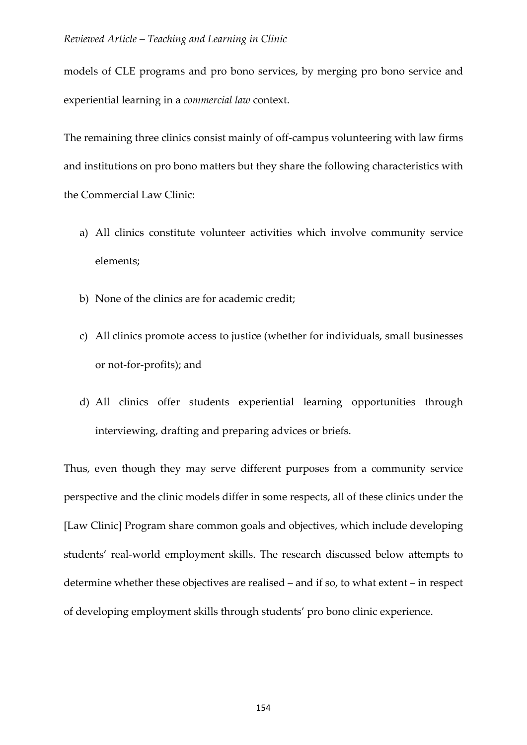models of CLE programs and pro bono services, by merging pro bono service and experiential learning in a *commercial law* context.

The remaining three clinics consist mainly of off-campus volunteering with law firms and institutions on pro bono matters but they share the following characteristics with the Commercial Law Clinic:

- a) All clinics constitute volunteer activities which involve community service elements;
- b) None of the clinics are for academic credit;
- c) All clinics promote access to justice (whether for individuals, small businesses or not-for-profits); and
- d) All clinics offer students experiential learning opportunities through interviewing, drafting and preparing advices or briefs.

Thus, even though they may serve different purposes from a community service perspective and the clinic models differ in some respects, all of these clinics under the [Law Clinic] Program share common goals and objectives, which include developing students' real-world employment skills. The research discussed below attempts to determine whether these objectives are realised – and if so, to what extent – in respect of developing employment skills through students' pro bono clinic experience.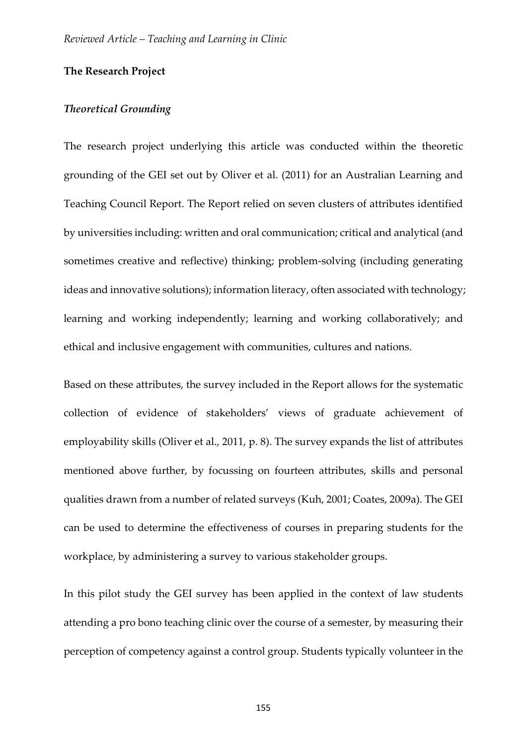#### **The Research Project**

#### *Theoretical Grounding*

The research project underlying this article was conducted within the theoretic grounding of the GEI set out by Oliver et al. (2011) for an Australian Learning and Teaching Council Report. The Report relied on seven clusters of attributes identified by universities including: written and oral communication; critical and analytical (and sometimes creative and reflective) thinking; problem-solving (including generating ideas and innovative solutions); information literacy, often associated with technology; learning and working independently; learning and working collaboratively; and ethical and inclusive engagement with communities, cultures and nations.

Based on these attributes, the survey included in the Report allows for the systematic collection of evidence of stakeholders' views of graduate achievement of employability skills (Oliver et al., 2011, p. 8). The survey expands the list of attributes mentioned above further, by focussing on fourteen attributes, skills and personal qualities drawn from a number of related surveys (Kuh, 2001; Coates, 2009a). The GEI can be used to determine the effectiveness of courses in preparing students for the workplace, by administering a survey to various stakeholder groups.

In this pilot study the GEI survey has been applied in the context of law students attending a pro bono teaching clinic over the course of a semester, by measuring their perception of competency against a control group. Students typically volunteer in the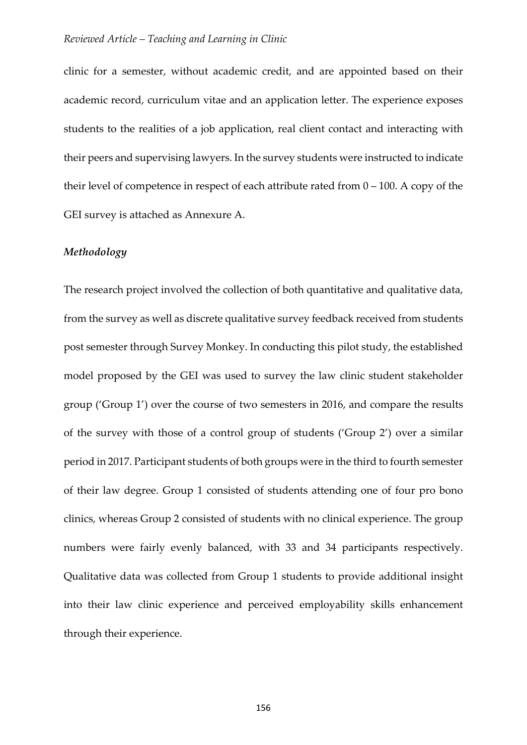clinic for a semester, without academic credit, and are appointed based on their academic record, curriculum vitae and an application letter. The experience exposes students to the realities of a job application, real client contact and interacting with their peers and supervising lawyers. In the survey students were instructed to indicate their level of competence in respect of each attribute rated from 0 – 100. A copy of the GEI survey is attached as Annexure A.

#### *Methodology*

The research project involved the collection of both quantitative and qualitative data, from the survey as well as discrete qualitative survey feedback received from students post semester through Survey Monkey. In conducting this pilot study, the established model proposed by the GEI was used to survey the law clinic student stakeholder group ('Group 1') over the course of two semesters in 2016, and compare the results of the survey with those of a control group of students ('Group 2') over a similar period in 2017. Participant students of both groups were in the third to fourth semester of their law degree. Group 1 consisted of students attending one of four pro bono clinics, whereas Group 2 consisted of students with no clinical experience. The group numbers were fairly evenly balanced, with 33 and 34 participants respectively. Qualitative data was collected from Group 1 students to provide additional insight into their law clinic experience and perceived employability skills enhancement through their experience.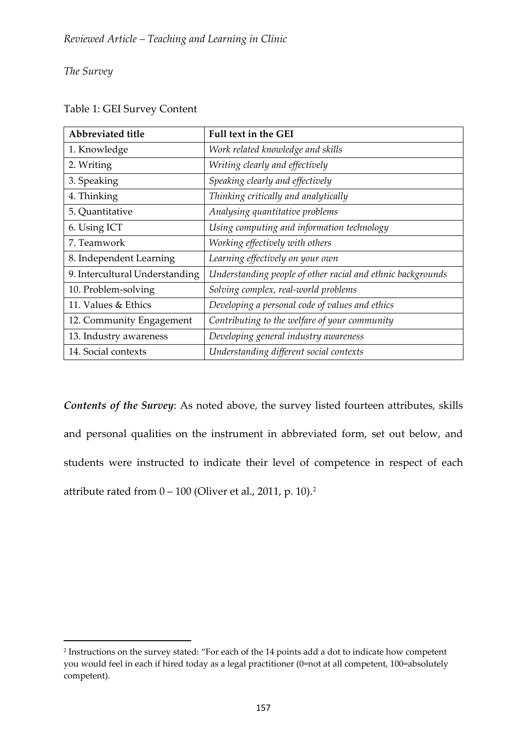## *The Survey*

<u>.</u>

| Abbreviated title              | <b>Full text in the GEI</b>                                 |
|--------------------------------|-------------------------------------------------------------|
| 1. Knowledge                   | Work related knowledge and skills                           |
| 2. Writing                     | Writing clearly and effectively                             |
| 3. Speaking                    | Speaking clearly and effectively                            |
| 4. Thinking                    | Thinking critically and analytically                        |
| 5. Quantitative                | Analysing quantitative problems                             |
| 6. Using ICT                   | Using computing and information technology                  |
| 7. Teamwork                    | Working effectively with others                             |
| 8. Independent Learning        | Learning effectively on your own                            |
| 9. Intercultural Understanding | Understanding people of other racial and ethnic backgrounds |
| 10. Problem-solving            | Solving complex, real-world problems                        |
| 11. Values & Ethics            | Developing a personal code of values and ethics             |
| 12. Community Engagement       | Contributing to the welfare of your community               |
| 13. Industry awareness         | Developing general industry awareness                       |
| 14. Social contexts            | Understanding different social contexts                     |

## Table 1: GEI Survey Content

*Contents of the Survey*: As noted above, the survey listed fourteen attributes, skills and personal qualities on the instrument in abbreviated form, set out below, and students were instructed to indicate their level of competence in respect of each attribute rated from  $0 - 100$  (Oliver et al., [2](#page-11-0)011, p. 10).<sup>2</sup>

<span id="page-11-0"></span><sup>2</sup> Instructions on the survey stated: "For each of the 14 points add a dot to indicate how competent you would feel in each if hired today as a legal practitioner (0=not at all competent, 100=absolutely competent).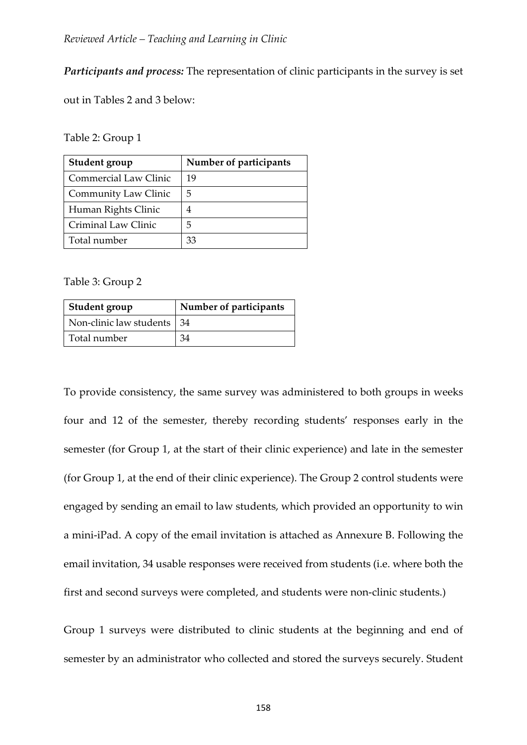*Participants and process:* The representation of clinic participants in the survey is set

out in Tables 2 and 3 below:

#### Table 2: Group 1

| <b>Student group</b>         | Number of participants |
|------------------------------|------------------------|
| <b>Commercial Law Clinic</b> | 19                     |
| Community Law Clinic         | 5                      |
| Human Rights Clinic          | 4                      |
| Criminal Law Clinic          | 5                      |
| Total number                 | 33                     |

#### Table 3: Group 2

| Student group                | Number of participants |
|------------------------------|------------------------|
| Non-clinic law students   34 |                        |
| Total number                 |                        |

To provide consistency, the same survey was administered to both groups in weeks four and 12 of the semester, thereby recording students' responses early in the semester (for Group 1, at the start of their clinic experience) and late in the semester (for Group 1, at the end of their clinic experience). The Group 2 control students were engaged by sending an email to law students, which provided an opportunity to win a mini-iPad. A copy of the email invitation is attached as Annexure B. Following the email invitation, 34 usable responses were received from students (i.e. where both the first and second surveys were completed, and students were non-clinic students.)

Group 1 surveys were distributed to clinic students at the beginning and end of semester by an administrator who collected and stored the surveys securely. Student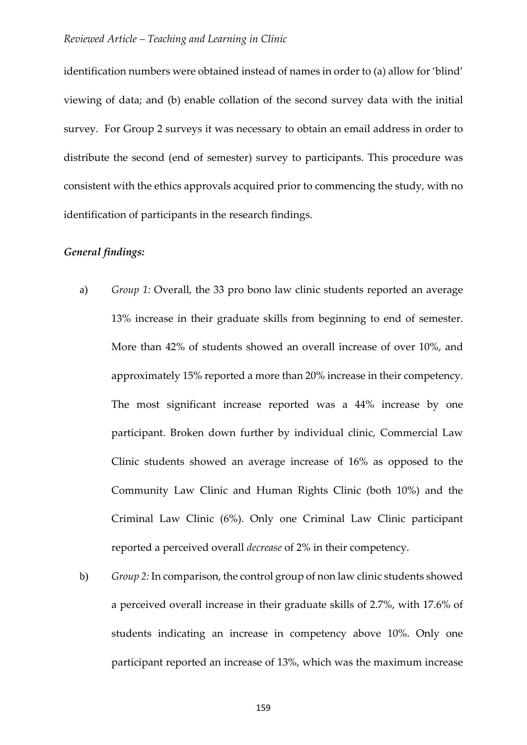identification numbers were obtained instead of names in order to (a) allow for 'blind' viewing of data; and (b) enable collation of the second survey data with the initial survey. For Group 2 surveys it was necessary to obtain an email address in order to distribute the second (end of semester) survey to participants. This procedure was consistent with the ethics approvals acquired prior to commencing the study, with no identification of participants in the research findings.

## *General findings:*

- a) *Group 1:* Overall, the 33 pro bono law clinic students reported an average 13% increase in their graduate skills from beginning to end of semester. More than 42% of students showed an overall increase of over 10%, and approximately 15% reported a more than 20% increase in their competency. The most significant increase reported was a 44% increase by one participant. Broken down further by individual clinic, Commercial Law Clinic students showed an average increase of 16% as opposed to the Community Law Clinic and Human Rights Clinic (both 10%) and the Criminal Law Clinic (6%). Only one Criminal Law Clinic participant reported a perceived overall *decrease* of 2% in their competency.
- b) *Group 2:* In comparison, the control group of non law clinic students showed a perceived overall increase in their graduate skills of 2.7%, with 17.6% of students indicating an increase in competency above 10%. Only one participant reported an increase of 13%, which was the maximum increase

159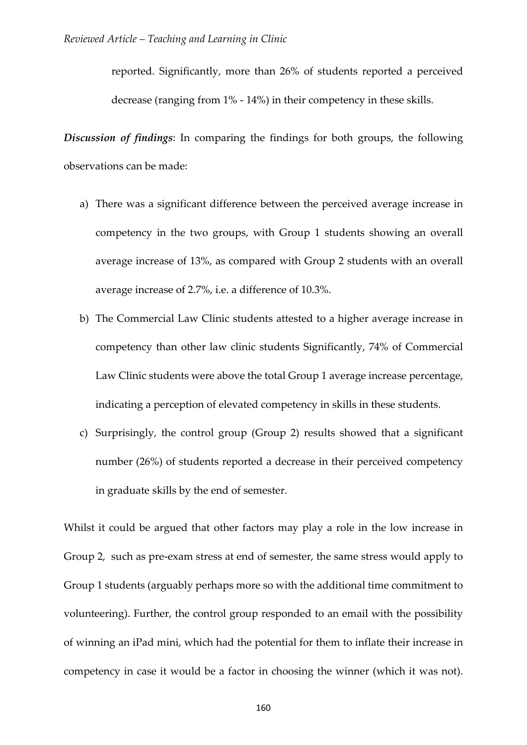reported. Significantly, more than 26% of students reported a perceived decrease (ranging from 1% - 14%) in their competency in these skills.

*Discussion of findings*: In comparing the findings for both groups, the following observations can be made:

- a) There was a significant difference between the perceived average increase in competency in the two groups, with Group 1 students showing an overall average increase of 13%, as compared with Group 2 students with an overall average increase of 2.7%, i.e. a difference of 10.3%.
- b) The Commercial Law Clinic students attested to a higher average increase in competency than other law clinic students Significantly, 74% of Commercial Law Clinic students were above the total Group 1 average increase percentage, indicating a perception of elevated competency in skills in these students.
- c) Surprisingly, the control group (Group 2) results showed that a significant number (26%) of students reported a decrease in their perceived competency in graduate skills by the end of semester.

Whilst it could be argued that other factors may play a role in the low increase in Group 2, such as pre-exam stress at end of semester, the same stress would apply to Group 1 students (arguably perhaps more so with the additional time commitment to volunteering). Further, the control group responded to an email with the possibility of winning an iPad mini, which had the potential for them to inflate their increase in competency in case it would be a factor in choosing the winner (which it was not).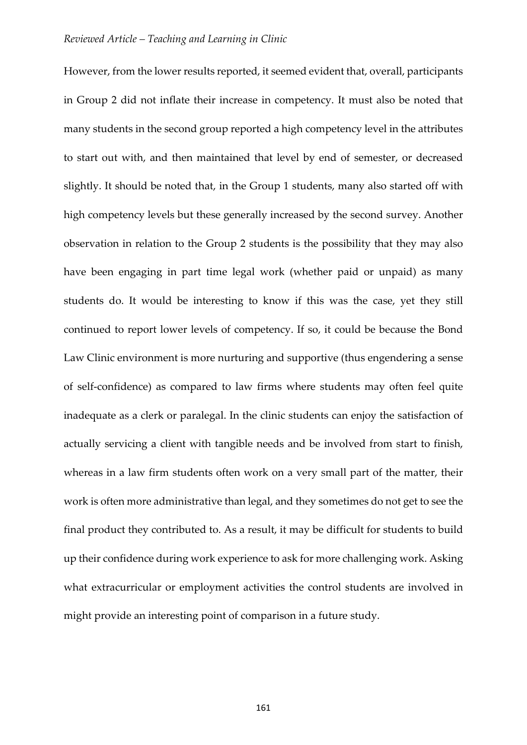However, from the lower results reported, it seemed evident that, overall, participants in Group 2 did not inflate their increase in competency. It must also be noted that many students in the second group reported a high competency level in the attributes to start out with, and then maintained that level by end of semester, or decreased slightly. It should be noted that, in the Group 1 students, many also started off with high competency levels but these generally increased by the second survey. Another observation in relation to the Group 2 students is the possibility that they may also have been engaging in part time legal work (whether paid or unpaid) as many students do. It would be interesting to know if this was the case, yet they still continued to report lower levels of competency. If so, it could be because the Bond Law Clinic environment is more nurturing and supportive (thus engendering a sense of self-confidence) as compared to law firms where students may often feel quite inadequate as a clerk or paralegal. In the clinic students can enjoy the satisfaction of actually servicing a client with tangible needs and be involved from start to finish, whereas in a law firm students often work on a very small part of the matter, their work is often more administrative than legal, and they sometimes do not get to see the final product they contributed to. As a result, it may be difficult for students to build up their confidence during work experience to ask for more challenging work. Asking what extracurricular or employment activities the control students are involved in might provide an interesting point of comparison in a future study.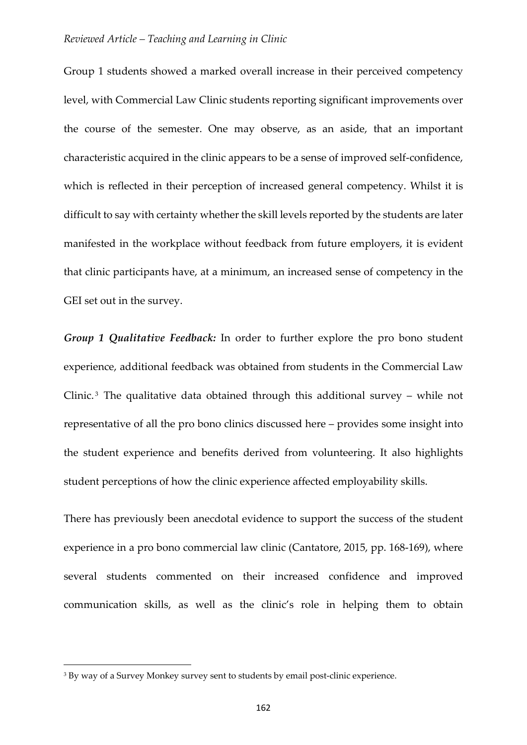Group 1 students showed a marked overall increase in their perceived competency level, with Commercial Law Clinic students reporting significant improvements over the course of the semester. One may observe, as an aside, that an important characteristic acquired in the clinic appears to be a sense of improved self-confidence, which is reflected in their perception of increased general competency. Whilst it is difficult to say with certainty whether the skill levels reported by the students are later manifested in the workplace without feedback from future employers, it is evident that clinic participants have, at a minimum, an increased sense of competency in the GEI set out in the survey.

*Group 1 Qualitative Feedback:* In order to further explore the pro bono student experience, additional feedback was obtained from students in the Commercial Law Clinic.<sup>[3](#page-16-0)</sup> The qualitative data obtained through this additional survey – while not representative of all the pro bono clinics discussed here – provides some insight into the student experience and benefits derived from volunteering. It also highlights student perceptions of how the clinic experience affected employability skills.

There has previously been anecdotal evidence to support the success of the student experience in a pro bono commercial law clinic (Cantatore, 2015, pp. 168-169), where several students commented on their increased confidence and improved communication skills, as well as the clinic's role in helping them to obtain

<u>.</u>

<span id="page-16-0"></span><sup>3</sup> By way of a Survey Monkey survey sent to students by email post-clinic experience.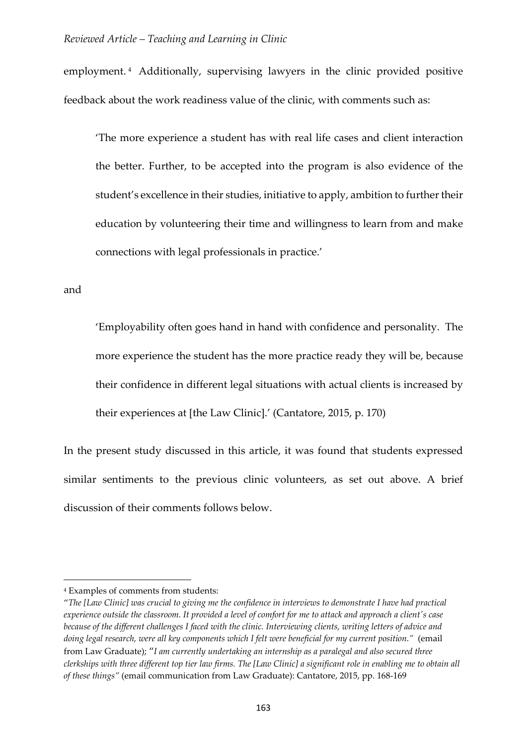employment. [4](#page-17-0) Additionally, supervising lawyers in the clinic provided positive feedback about the work readiness value of the clinic, with comments such as:

'The more experience a student has with real life cases and client interaction the better. Further, to be accepted into the program is also evidence of the student's excellence in their studies, initiative to apply, ambition to further their education by volunteering their time and willingness to learn from and make connections with legal professionals in practice.'

and

**.** 

'Employability often goes hand in hand with confidence and personality. The more experience the student has the more practice ready they will be, because their confidence in different legal situations with actual clients is increased by their experiences at [the Law Clinic].' (Cantatore, 2015, p. 170)

In the present study discussed in this article, it was found that students expressed similar sentiments to the previous clinic volunteers, as set out above. A brief discussion of their comments follows below.

<span id="page-17-0"></span><sup>4</sup> Examples of comments from students:

<sup>&</sup>quot;*The [Law Clinic] was crucial to giving me the confidence in interviews to demonstrate I have had practical experience outside the classroom. It provided a level of comfort for me to attack and approach a client's case because of the different challenges I faced with the clinic. Interviewing clients, writing letters of advice and doing legal research, were all key components which I felt were beneficial for my current position."* (email from Law Graduate); "*I am currently undertaking an internship as a paralegal and also secured three clerkships with three different top tier law firms. The [Law Clinic] a significant role in enabling me to obtain all of these things"* (email communication from Law Graduate): Cantatore, 2015, pp. 168-169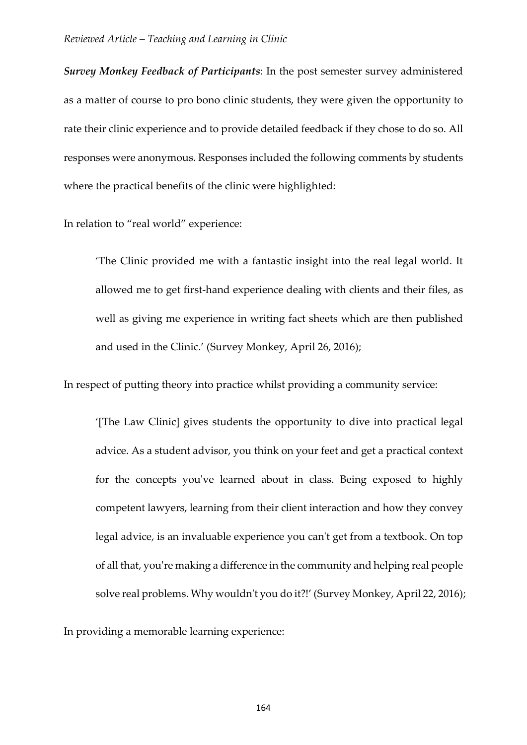*Survey Monkey Feedback of Participants*: In the post semester survey administered as a matter of course to pro bono clinic students, they were given the opportunity to rate their clinic experience and to provide detailed feedback if they chose to do so. All responses were anonymous. Responses included the following comments by students where the practical benefits of the clinic were highlighted:

#### In relation to "real world" experience:

'The Clinic provided me with a fantastic insight into the real legal world. It allowed me to get first-hand experience dealing with clients and their files, as well as giving me experience in writing fact sheets which are then published and used in the Clinic.' (Survey Monkey, April 26, 2016);

In respect of putting theory into practice whilst providing a community service:

'[The Law Clinic] gives students the opportunity to dive into practical legal advice. As a student advisor, you think on your feet and get a practical context for the concepts you've learned about in class. Being exposed to highly competent lawyers, learning from their client interaction and how they convey legal advice, is an invaluable experience you can't get from a textbook. On top of all that, you're making a difference in the community and helping real people solve real problems. Why wouldn't you do it?!' (Survey Monkey, April 22, 2016);

In providing a memorable learning experience: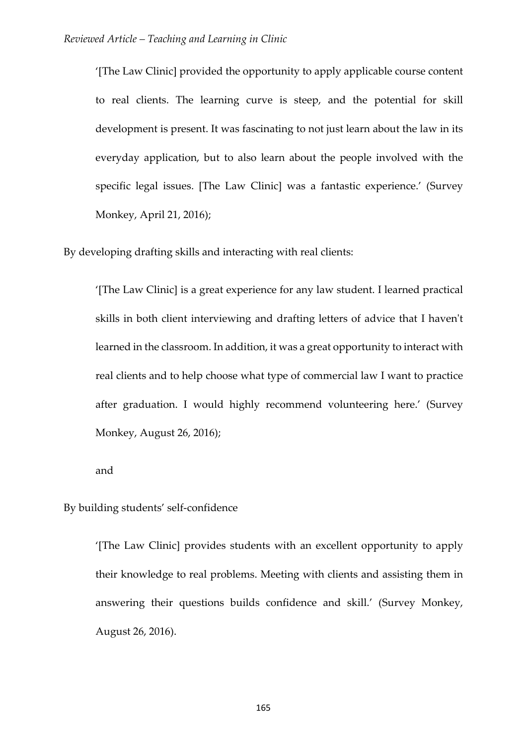'[The Law Clinic] provided the opportunity to apply applicable course content to real clients. The learning curve is steep, and the potential for skill development is present. It was fascinating to not just learn about the law in its everyday application, but to also learn about the people involved with the specific legal issues. [The Law Clinic] was a fantastic experience.' (Survey Monkey, April 21, 2016);

By developing drafting skills and interacting with real clients:

'[The Law Clinic] is a great experience for any law student. I learned practical skills in both client interviewing and drafting letters of advice that I haven't learned in the classroom. In addition, it was a great opportunity to interact with real clients and to help choose what type of commercial law I want to practice after graduation. I would highly recommend volunteering here.' (Survey Monkey, August 26, 2016);

and

By building students' self-confidence

'[The Law Clinic] provides students with an excellent opportunity to apply their knowledge to real problems. Meeting with clients and assisting them in answering their questions builds confidence and skill.' (Survey Monkey, August 26, 2016).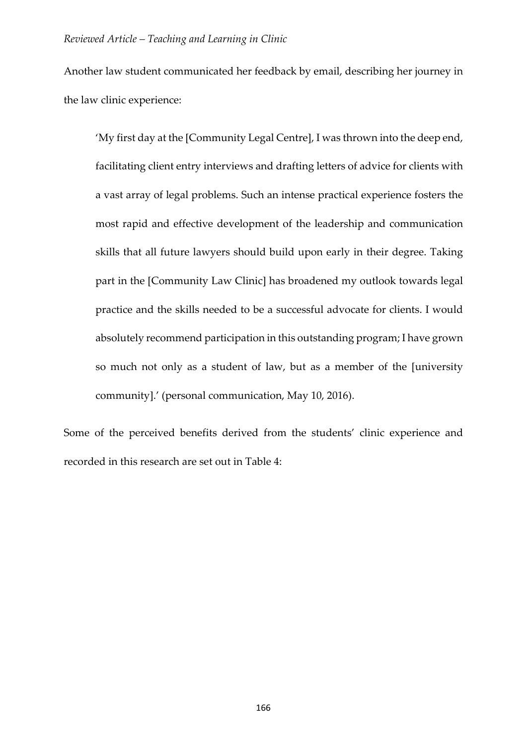Another law student communicated her feedback by email, describing her journey in the law clinic experience:

'My first day at the [Community Legal Centre], I was thrown into the deep end, facilitating client entry interviews and drafting letters of advice for clients with a vast array of legal problems. Such an intense practical experience fosters the most rapid and effective development of the leadership and communication skills that all future lawyers should build upon early in their degree. Taking part in the [Community Law Clinic] has broadened my outlook towards legal practice and the skills needed to be a successful advocate for clients. I would absolutely recommend participation in this outstanding program; I have grown so much not only as a student of law, but as a member of the [university community].' (personal communication, May 10, 2016).

Some of the perceived benefits derived from the students' clinic experience and recorded in this research are set out in Table 4: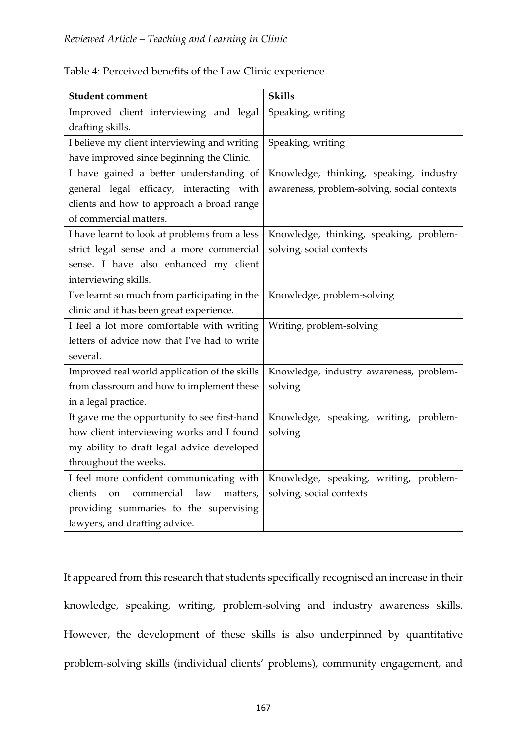| <b>Student comment</b>                                    | <b>Skills</b>                               |
|-----------------------------------------------------------|---------------------------------------------|
| Improved client interviewing and legal                    | Speaking, writing                           |
| drafting skills.                                          |                                             |
| I believe my client interviewing and writing              | Speaking, writing                           |
| have improved since beginning the Clinic.                 |                                             |
| I have gained a better understanding of                   | Knowledge, thinking, speaking, industry     |
| general legal efficacy, interacting with                  | awareness, problem-solving, social contexts |
| clients and how to approach a broad range                 |                                             |
| of commercial matters.                                    |                                             |
| I have learnt to look at problems from a less             | Knowledge, thinking, speaking, problem-     |
| strict legal sense and a more commercial                  | solving, social contexts                    |
| sense. I have also enhanced my client                     |                                             |
| interviewing skills.                                      |                                             |
| I've learnt so much from participating in the             | Knowledge, problem-solving                  |
| clinic and it has been great experience.                  |                                             |
| I feel a lot more comfortable with writing                | Writing, problem-solving                    |
| letters of advice now that I've had to write              |                                             |
| several.                                                  |                                             |
| Improved real world application of the skills             | Knowledge, industry awareness, problem-     |
| from classroom and how to implement these                 | solving                                     |
| in a legal practice.                                      |                                             |
| It gave me the opportunity to see first-hand              | Knowledge, speaking, writing, problem-      |
| how client interviewing works and I found                 | solving                                     |
| my ability to draft legal advice developed                |                                             |
| throughout the weeks.                                     |                                             |
| I feel more confident communicating with                  | Knowledge, speaking, writing, problem-      |
| clients<br>commercial<br>law<br>matters,<br><sub>on</sub> | solving, social contexts                    |
| providing summaries to the supervising                    |                                             |
| lawyers, and drafting advice.                             |                                             |

Table 4: Perceived benefits of the Law Clinic experience

It appeared from this research that students specifically recognised an increase in their knowledge, speaking, writing, problem-solving and industry awareness skills. However, the development of these skills is also underpinned by quantitative problem-solving skills (individual clients' problems), community engagement, and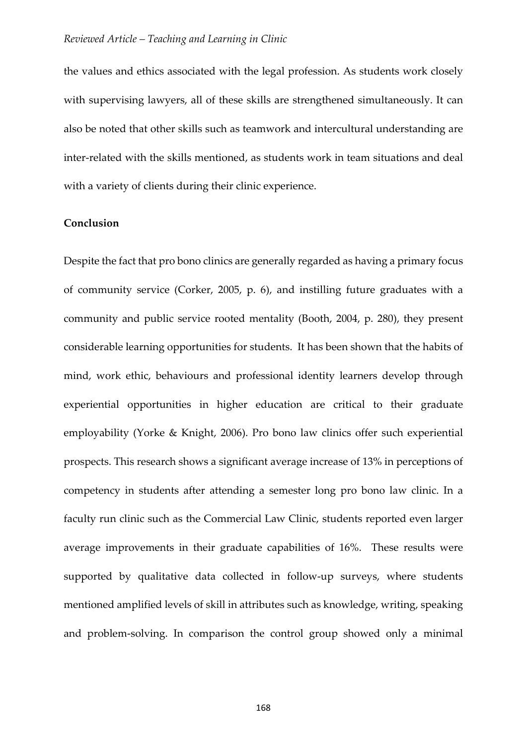the values and ethics associated with the legal profession. As students work closely with supervising lawyers, all of these skills are strengthened simultaneously. It can also be noted that other skills such as teamwork and intercultural understanding are inter-related with the skills mentioned, as students work in team situations and deal with a variety of clients during their clinic experience.

#### **Conclusion**

Despite the fact that pro bono clinics are generally regarded as having a primary focus of community service (Corker, 2005, p. 6), and instilling future graduates with a community and public service rooted mentality (Booth, 2004, p. 280), they present considerable learning opportunities for students. It has been shown that the habits of mind, work ethic, behaviours and professional identity learners develop through experiential opportunities in higher education are critical to their graduate employability (Yorke & Knight, 2006). Pro bono law clinics offer such experiential prospects. This research shows a significant average increase of 13% in perceptions of competency in students after attending a semester long pro bono law clinic. In a faculty run clinic such as the Commercial Law Clinic, students reported even larger average improvements in their graduate capabilities of 16%. These results were supported by qualitative data collected in follow-up surveys, where students mentioned amplified levels of skill in attributes such as knowledge, writing, speaking and problem-solving. In comparison the control group showed only a minimal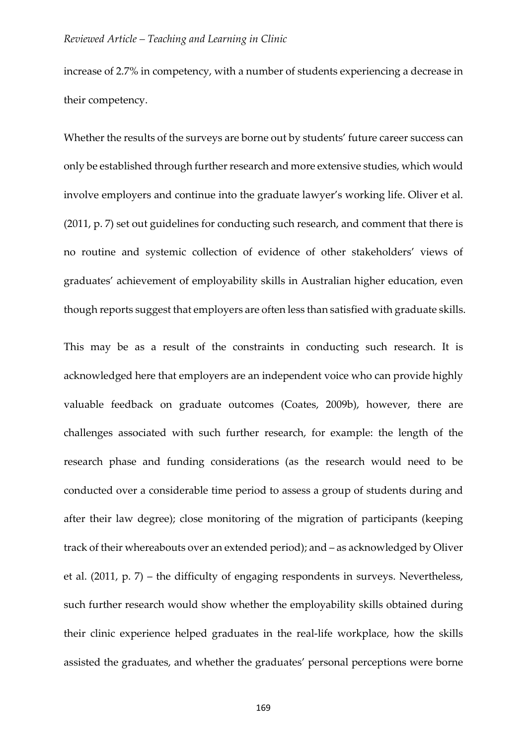increase of 2.7% in competency, with a number of students experiencing a decrease in their competency.

Whether the results of the surveys are borne out by students' future career success can only be established through further research and more extensive studies, which would involve employers and continue into the graduate lawyer's working life. Oliver et al. (2011, p. 7) set out guidelines for conducting such research, and comment that there is no routine and systemic collection of evidence of other stakeholders' views of graduates' achievement of employability skills in Australian higher education, even though reports suggest that employers are often less than satisfied with graduate skills.

This may be as a result of the constraints in conducting such research. It is acknowledged here that employers are an independent voice who can provide highly valuable feedback on graduate outcomes (Coates, 2009b), however, there are challenges associated with such further research, for example: the length of the research phase and funding considerations (as the research would need to be conducted over a considerable time period to assess a group of students during and after their law degree); close monitoring of the migration of participants (keeping track of their whereabouts over an extended period); and – as acknowledged by Oliver et al. (2011, p. 7) – the difficulty of engaging respondents in surveys. Nevertheless, such further research would show whether the employability skills obtained during their clinic experience helped graduates in the real-life workplace, how the skills assisted the graduates, and whether the graduates' personal perceptions were borne

169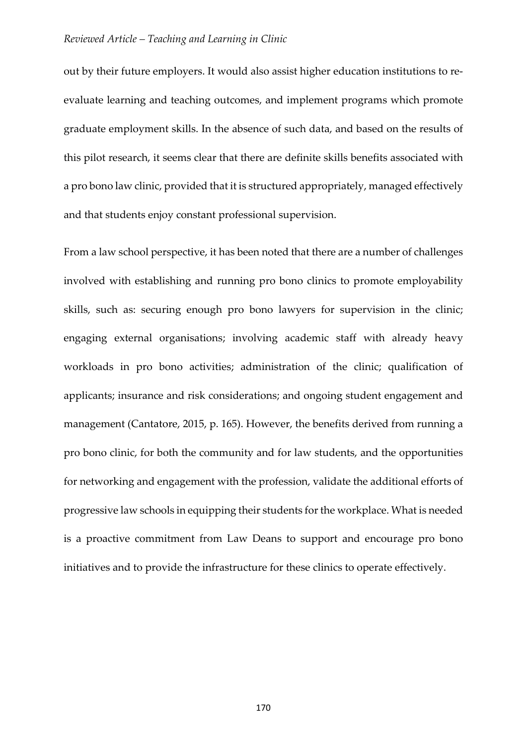out by their future employers. It would also assist higher education institutions to reevaluate learning and teaching outcomes, and implement programs which promote graduate employment skills. In the absence of such data, and based on the results of this pilot research, it seems clear that there are definite skills benefits associated with a pro bono law clinic, provided that it is structured appropriately, managed effectively and that students enjoy constant professional supervision.

From a law school perspective, it has been noted that there are a number of challenges involved with establishing and running pro bono clinics to promote employability skills, such as: securing enough pro bono lawyers for supervision in the clinic; engaging external organisations; involving academic staff with already heavy workloads in pro bono activities; administration of the clinic; qualification of applicants; insurance and risk considerations; and ongoing student engagement and management (Cantatore, 2015, p. 165). However, the benefits derived from running a pro bono clinic, for both the community and for law students, and the opportunities for networking and engagement with the profession, validate the additional efforts of progressive law schools in equipping their students for the workplace. What is needed is a proactive commitment from Law Deans to support and encourage pro bono initiatives and to provide the infrastructure for these clinics to operate effectively.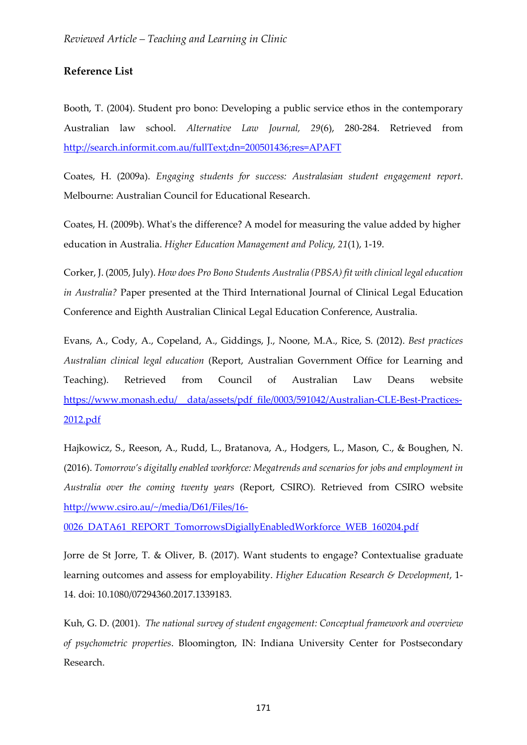## **Reference List**

Booth, T. (2004). Student pro bono: Developing a public service ethos in the contemporary Australian law school. *Alternative Law Journal, 29*(6), 280-284. Retrieved from <http://search.informit.com.au/fullText;dn=200501436;res=APAFT>

Coates, H. (2009a). *Engaging students for success: Australasian student engagement report*. Melbourne: Australian Council for Educational Research.

Coates, H. (2009b). What's the difference? A model for measuring the value added by higher education in Australia. *Higher Education Management and Policy, 21*(1), 1-19.

Corker, J. (2005, July). *How does Pro Bono Students Australia (PBSA) fit with clinical legal education in Australia?* Paper presented at the Third International Journal of Clinical Legal Education Conference and Eighth Australian Clinical Legal Education Conference, Australia.

Evans, A., Cody, A., Copeland, A., Giddings, J., Noone, M.A., Rice, S. (2012). *Best practices Australian clinical legal education* (Report, Australian Government Office for Learning and Teaching). Retrieved from Council of Australian Law Deans website [https://www.monash.edu/\\_\\_data/assets/pdf\\_file/0003/591042/Australian-CLE-Best-Practices-](https://www.monash.edu/__data/assets/pdf_file/0003/591042/Australian-CLE-Best-Practices-2012.pdf)[2012.pdf](https://www.monash.edu/__data/assets/pdf_file/0003/591042/Australian-CLE-Best-Practices-2012.pdf)

Hajkowicz, S., Reeson, A., Rudd, L., Bratanova, A., Hodgers, L., Mason, C., & Boughen, N. (2016). *Tomorrow's digitally enabled workforce: Megatrends and scenarios for jobs and employment in Australia over the coming twenty years* (Report, CSIRO)*.* Retrieved from CSIRO website [http://www.csiro.au/~/media/D61/Files/16-](http://www.csiro.au/%7E/media/D61/Files/16-0026_DATA61_REPORT_TomorrowsDigiallyEnabledWorkforce_WEB_160204.pdf)

[0026\\_DATA61\\_REPORT\\_TomorrowsDigiallyEnabledWorkforce\\_WEB\\_160204.pdf](http://www.csiro.au/%7E/media/D61/Files/16-0026_DATA61_REPORT_TomorrowsDigiallyEnabledWorkforce_WEB_160204.pdf)

Jorre de St Jorre, T. & Oliver, B. (2017). Want students to engage? Contextualise graduate learning outcomes and assess for employability. *Higher Education Research & Development*, 1- 14. doi: 10.1080/07294360.2017.1339183.

Kuh, G. D. (2001). *The national survey of student engagement: Conceptual framework and overview of psychometric properties*. Bloomington, IN: Indiana University Center for Postsecondary Research.